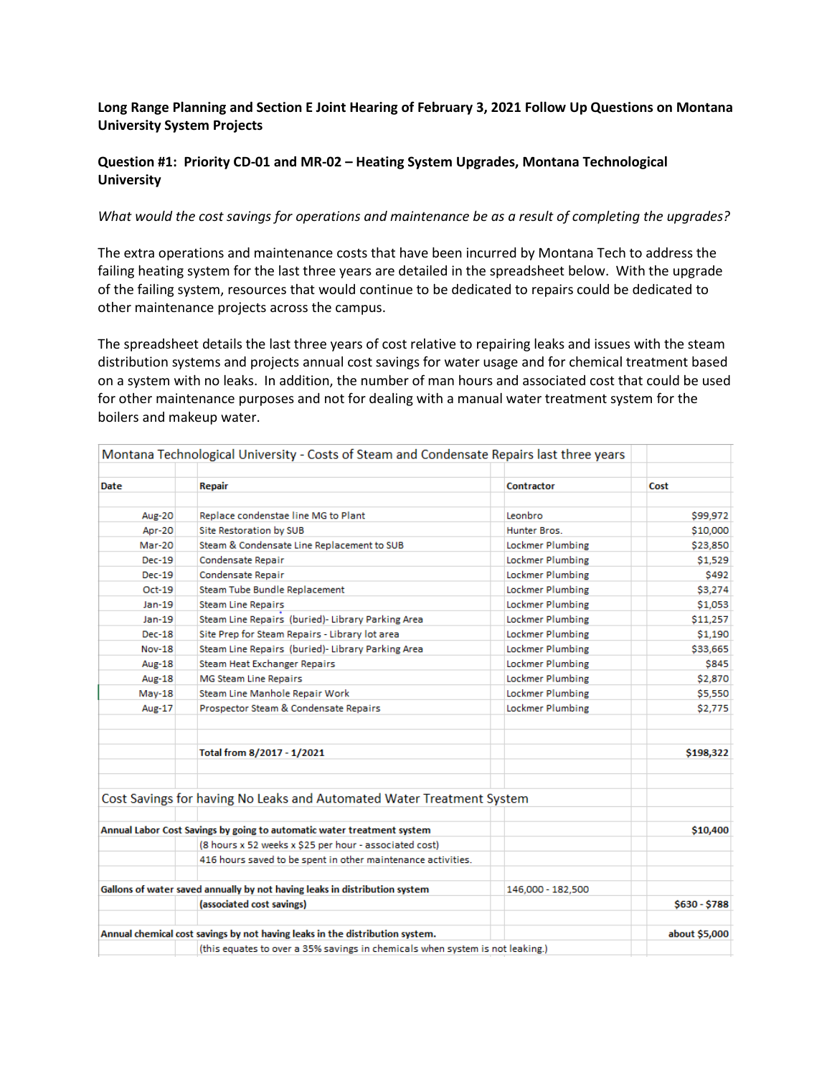## **Long Range Planning and Section E Joint Hearing of February 3, 2021 Follow Up Questions on Montana University System Projects**

## **Question #1: Priority CD-01 and MR-02 – Heating System Upgrades, Montana Technological University**

## *What would the cost savings for operations and maintenance be as a result of completing the upgrades?*

The extra operations and maintenance costs that have been incurred by Montana Tech to address the failing heating system for the last three years are detailed in the spreadsheet below. With the upgrade of the failing system, resources that would continue to be dedicated to repairs could be dedicated to other maintenance projects across the campus.

The spreadsheet details the last three years of cost relative to repairing leaks and issues with the steam distribution systems and projects annual cost savings for water usage and for chemical treatment based on a system with no leaks. In addition, the number of man hours and associated cost that could be used for other maintenance purposes and not for dealing with a manual water treatment system for the boilers and makeup water.

|               | Montana Technological University - Costs of Steam and Condensate Repairs last three years |                   |               |
|---------------|-------------------------------------------------------------------------------------------|-------------------|---------------|
| Date          | Repair                                                                                    | Contractor        | Cost          |
| Aug-20        | Replace condenstae line MG to Plant                                                       | Leonbro           | \$99,972      |
| <b>Apr-20</b> | <b>Site Restoration by SUB</b>                                                            | Hunter Bros.      | \$10,000      |
| Mar-20        | Steam & Condensate Line Replacement to SUB                                                | Lockmer Plumbing  | \$23,850      |
| $Dec-19$      | Condensate Repair                                                                         | Lockmer Plumbing  | \$1,529       |
| $Dec-19$      | Condensate Repair                                                                         | Lockmer Plumbing  | \$492         |
| $Oct-19$      | Steam Tube Bundle Replacement                                                             | Lockmer Plumbing  | \$3,274       |
| Jan-19        | <b>Steam Line Repairs</b>                                                                 | Lockmer Plumbing  | \$1,053       |
| $Jan-19$      | Steam Line Repairs (buried)- Library Parking Area                                         | Lockmer Plumbing  | \$11,257      |
| $Dec-18$      | Site Prep for Steam Repairs - Library lot area                                            | Lockmer Plumbing  | \$1,190       |
| <b>Nov-18</b> | Steam Line Repairs (buried)- Library Parking Area                                         | Lockmer Plumbing  | \$33,665      |
| Aug-18        | <b>Steam Heat Exchanger Repairs</b>                                                       | Lockmer Plumbing  | \$845         |
| Aug-18        | <b>MG Steam Line Repairs</b>                                                              | Lockmer Plumbing  | \$2,870       |
| $May-18$      | Steam Line Manhole Repair Work                                                            | Lockmer Plumbing  | \$5,550       |
| Aug-17        | Prospector Steam & Condensate Repairs                                                     | Lockmer Plumbing  | \$2,775       |
|               | Total from 8/2017 - 1/2021                                                                |                   | \$198,322     |
|               | Cost Savings for having No Leaks and Automated Water Treatment System                     |                   |               |
|               | Annual Labor Cost Savings by going to automatic water treatment system                    |                   | \$10,400      |
|               | (8 hours x 52 weeks x \$25 per hour - associated cost)                                    |                   |               |
|               | 416 hours saved to be spent in other maintenance activities.                              |                   |               |
|               | Gallons of water saved annually by not having leaks in distribution system                | 146,000 - 182,500 |               |
|               | (associated cost savings)                                                                 |                   | \$630 - \$788 |
|               | Annual chemical cost savings by not having leaks in the distribution system.              |                   | about \$5,000 |
|               | (this equates to over a 35% savings in chemicals when system is not leaking.)             |                   |               |